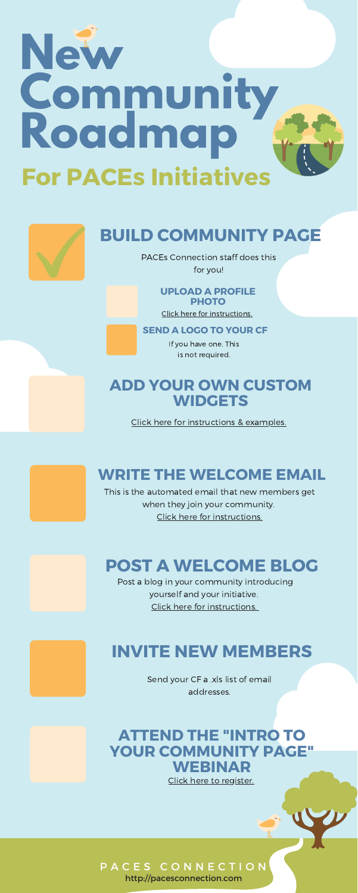#### **UPLOAD A PROFILE PHOTO**

Click here for [instructions.](https://www.acesconnection.com/blog/how-to-add-or-change-a-profile-picture)

# **BUILD COMMUNITY PAGE**

PACEs Connection staff does this for you!

#### **SEND A LOGO TO YOUR CF**

If you have one. This is not required.

## **ADD YOUR OWN CUSTOM WIDGETS**

# **New Community Roadmap For PACEs Initiatives**



Click here for [instructions](https://www.acesconnection.com/g/group-managers/blog/directory-of-community-manager-how-to-s) & examples.

# **WRITE THE WELCOME EMAIL**

This is the automated email that new members get when they join your community. Click here for [instructions.](https://www.acesconnection.com/g/group-managers/blog/directory-of-community-manager-how-to-s)

http://pacesconnection.com

# **POST A WELCOME BLOG**

Post a blog in your community introducing yourself and your initiative. Click here for [instructions.](https://www.acesconnection.com/g/group-managers/blog/community-manager-how-to-creating-a-welcome-blog)



# **INVITE NEW MEMBERS**

Send your CF a .xls list of email addresses.

## **ATTEND THE "INTRO TO YOUR COMMUNITY PAGE" WEBINAR** Click here to [register.](https://us02web.zoom.us/meeting/register/tZ0uceuorj8rHtbyr2qqTLvbkR_yRA1qXuN-)

## PACES CONNECTION